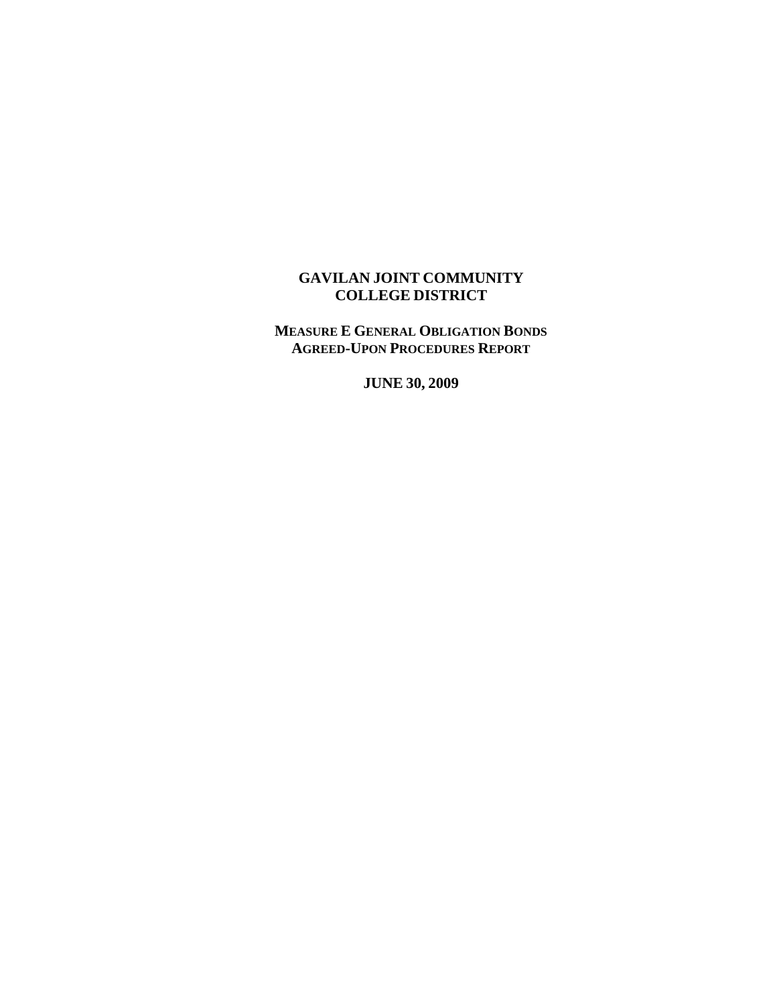## **GAVILAN JOINT COMMUNITY COLLEGE DISTRICT**

**MEASURE E GENERAL OBLIGATION BONDS AGREED-UPON PROCEDURES REPORT**

**JUNE 30, 2009**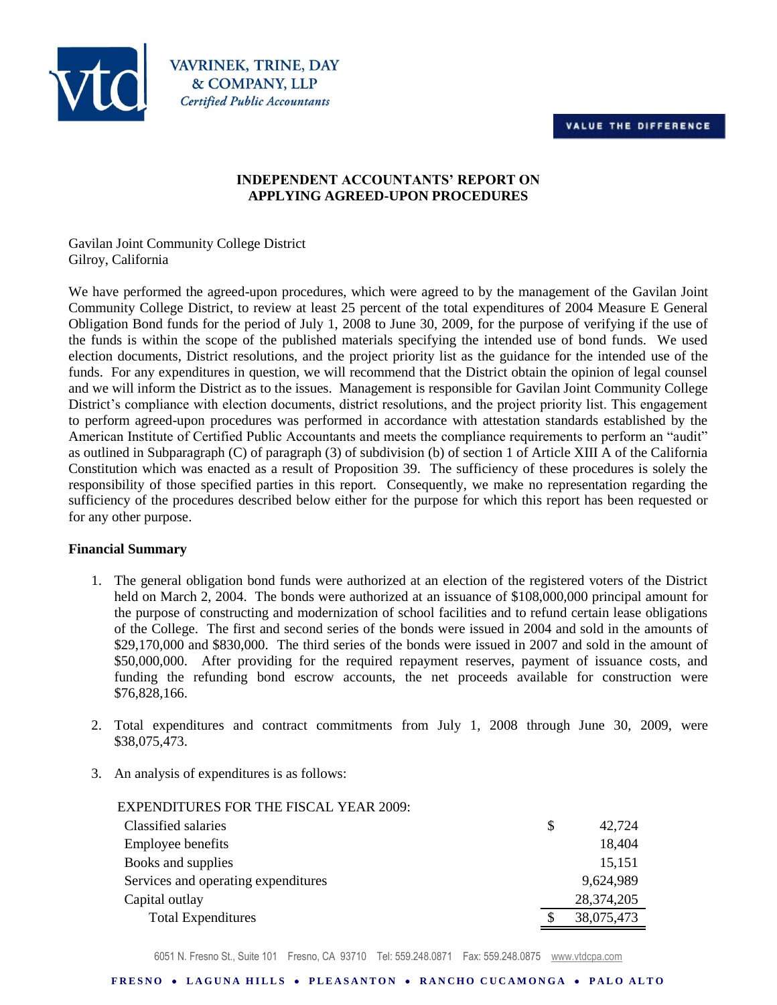



**VAVRINEK, TRINE, DAY** & COMPANY, LLP **Certified Public Accountants** 

#### **INDEPENDENT ACCOUNTANTS' REPORT ON APPLYING AGREED-UPON PROCEDURES**

Gavilan Joint Community College District Gilroy, California

We have performed the agreed-upon procedures, which were agreed to by the management of the Gavilan Joint Community College District, to review at least 25 percent of the total expenditures of 2004 Measure E General Obligation Bond funds for the period of July 1, 2008 to June 30, 2009, for the purpose of verifying if the use of the funds is within the scope of the published materials specifying the intended use of bond funds. We used election documents, District resolutions, and the project priority list as the guidance for the intended use of the funds. For any expenditures in question, we will recommend that the District obtain the opinion of legal counsel and we will inform the District as to the issues. Management is responsible for Gavilan Joint Community College District's compliance with election documents, district resolutions, and the project priority list. This engagement to perform agreed-upon procedures was performed in accordance with attestation standards established by the American Institute of Certified Public Accountants and meets the compliance requirements to perform an "audit" as outlined in Subparagraph (C) of paragraph (3) of subdivision (b) of section 1 of Article XIII A of the California Constitution which was enacted as a result of Proposition 39. The sufficiency of these procedures is solely the responsibility of those specified parties in this report. Consequently, we make no representation regarding the sufficiency of the procedures described below either for the purpose for which this report has been requested or for any other purpose.

#### **Financial Summary**

- 1. The general obligation bond funds were authorized at an election of the registered voters of the District held on March 2, 2004. The bonds were authorized at an issuance of \$108,000,000 principal amount for the purpose of constructing and modernization of school facilities and to refund certain lease obligations of the College. The first and second series of the bonds were issued in 2004 and sold in the amounts of \$29,170,000 and \$830,000. The third series of the bonds were issued in 2007 and sold in the amount of \$50,000,000. After providing for the required repayment reserves, payment of issuance costs, and funding the refunding bond escrow accounts, the net proceeds available for construction were \$76,828,166.
- 2. Total expenditures and contract commitments from July 1, 2008 through June 30, 2009, were \$38,075,473.
- 3. An analysis of expenditures is as follows:

| <b>EXPENDITURES FOR THE FISCAL YEAR 2009:</b> |              |
|-----------------------------------------------|--------------|
| Classified salaries                           | \$<br>42,724 |
| Employee benefits                             | 18,404       |
| Books and supplies                            | 15,151       |
| Services and operating expenditures           | 9,624,989    |
| Capital outlay                                | 28,374,205   |
| <b>Total Expenditures</b>                     | 38,075,473   |

6051 N. Fresno St., Suite 101 Fresno, CA 93710 Tel: 559.248.0871 Fax: 559.248.0875 www.vtdcpa.com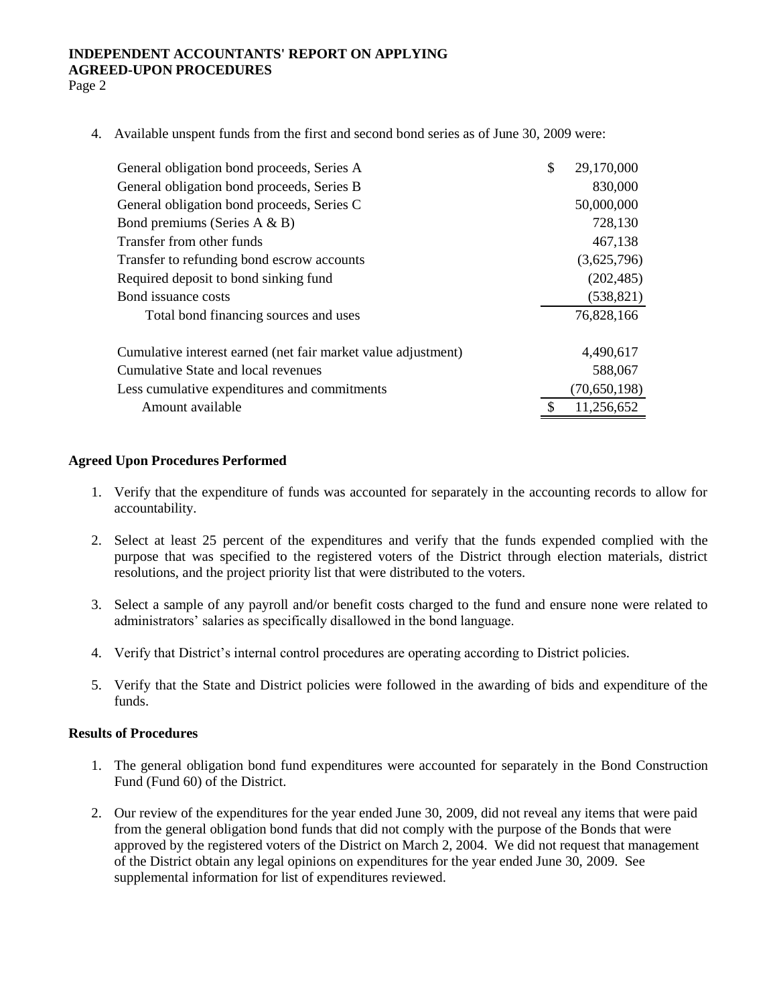# **INDEPENDENT ACCOUNTANTS' REPORT ON APPLYING AGREED-UPON PROCEDURES**

Page 2

4. Available unspent funds from the first and second bond series as of June 30, 2009 were:

| General obligation bond proceeds, Series A                    | \$<br>29,170,000 |
|---------------------------------------------------------------|------------------|
| General obligation bond proceeds, Series B                    | 830,000          |
| General obligation bond proceeds, Series C                    | 50,000,000       |
| Bond premiums (Series $A \& B$ )                              | 728,130          |
| Transfer from other funds                                     | 467,138          |
| Transfer to refunding bond escrow accounts                    | (3,625,796)      |
| Required deposit to bond sinking fund                         | (202, 485)       |
| Bond issuance costs                                           | (538, 821)       |
| Total bond financing sources and uses                         | 76,828,166       |
| Cumulative interest earned (net fair market value adjustment) | 4,490,617        |
| Cumulative State and local revenues                           | 588,067          |
| Less cumulative expenditures and commitments                  | (70, 650, 198)   |
| Amount available                                              | 11,256,652       |
|                                                               |                  |

#### **Agreed Upon Procedures Performed**

- 1. Verify that the expenditure of funds was accounted for separately in the accounting records to allow for accountability.
- 2. Select at least 25 percent of the expenditures and verify that the funds expended complied with the purpose that was specified to the registered voters of the District through election materials, district resolutions, and the project priority list that were distributed to the voters.
- 3. Select a sample of any payroll and/or benefit costs charged to the fund and ensure none were related to administrators' salaries as specifically disallowed in the bond language.
- 4. Verify that District's internal control procedures are operating according to District policies.
- 5. Verify that the State and District policies were followed in the awarding of bids and expenditure of the funds.

#### **Results of Procedures**

- 1. The general obligation bond fund expenditures were accounted for separately in the Bond Construction Fund (Fund 60) of the District.
- 2. Our review of the expenditures for the year ended June 30, 2009, did not reveal any items that were paid from the general obligation bond funds that did not comply with the purpose of the Bonds that were approved by the registered voters of the District on March 2, 2004. We did not request that management of the District obtain any legal opinions on expenditures for the year ended June 30, 2009. See supplemental information for list of expenditures reviewed.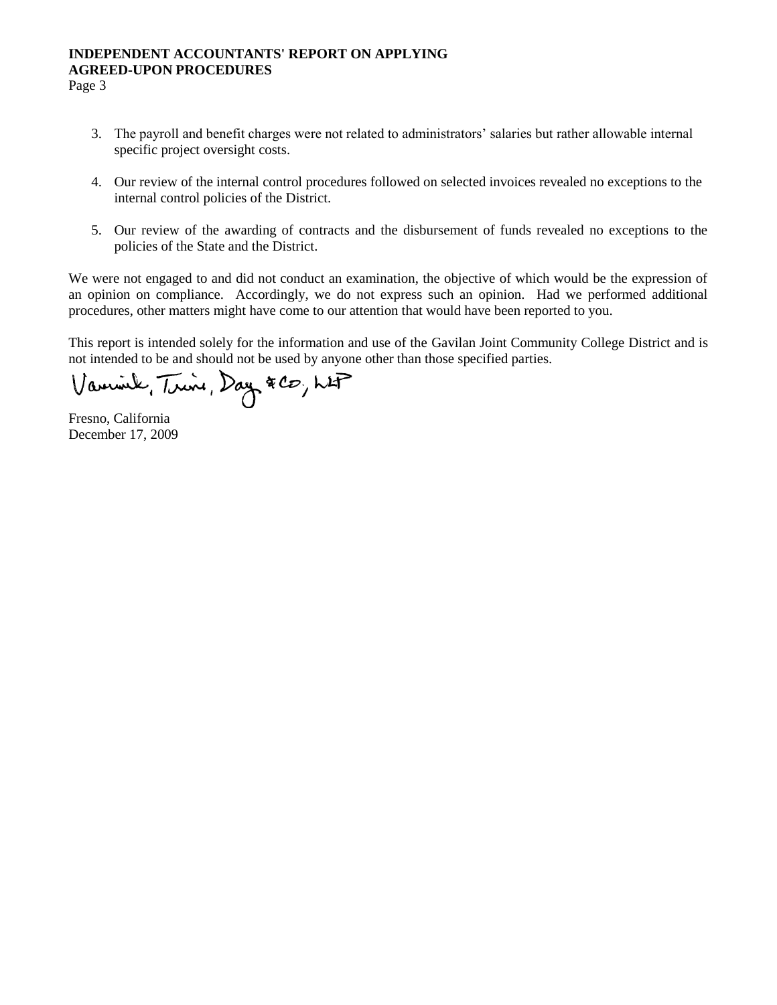## **INDEPENDENT ACCOUNTANTS' REPORT ON APPLYING AGREED-UPON PROCEDURES**

Page 3

- 3. The payroll and benefit charges were not related to administrators' salaries but rather allowable internal specific project oversight costs.
- 4. Our review of the internal control procedures followed on selected invoices revealed no exceptions to the internal control policies of the District.
- 5. Our review of the awarding of contracts and the disbursement of funds revealed no exceptions to the policies of the State and the District.

We were not engaged to and did not conduct an examination, the objective of which would be the expression of an opinion on compliance. Accordingly, we do not express such an opinion. Had we performed additional procedures, other matters might have come to our attention that would have been reported to you.

This report is intended solely for the information and use of the Gavilan Joint Community College District and is not intended to be and should not be used by anyone other than those specified parties.

Varmink, Trine, Day & CO, LAP

Fresno, California December 17, 2009